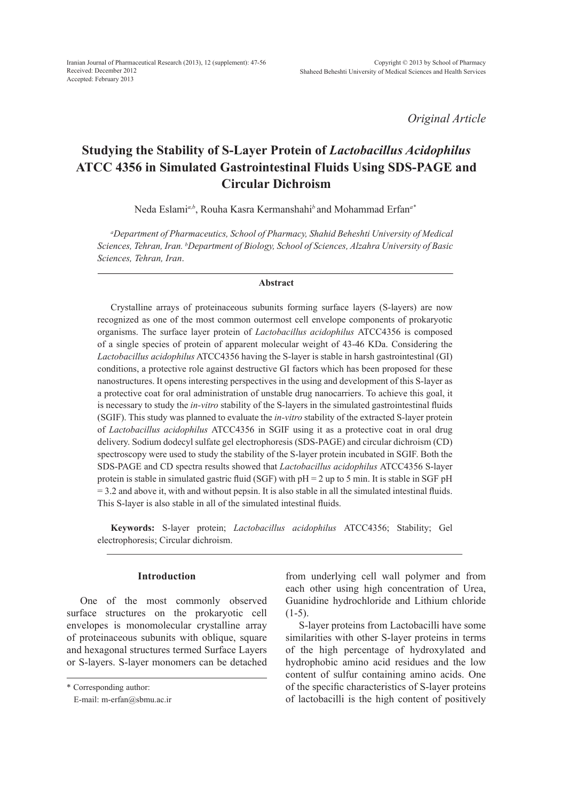*Original Article*

# **Studying the Stability of S-Layer Protein of** *Lactobacillus Acidophilus*  **ATCC 4356 in Simulated Gastrointestinal Fluids Using SDS-PAGE and Circular Dichroism**

Neda Eslami*a,b*, Rouha Kasra Kermanshahi*<sup>b</sup>*and Mohammad Erfan*a\**

*a Department of Pharmaceutics, School of Pharmacy, Shahid Beheshti University of Medical Sciences, Tehran, Iran. b Department of Biology, School of Sciences, Alzahra University of Basic Sciences, Tehran, Iran*.

#### **Abstract**

Crystalline arrays of proteinaceous subunits forming surface layers (S-layers) are now recognized as one of the most common outermost cell envelope components of prokaryotic organisms. The surface layer protein of *Lactobacillus acidophilus* ATCC4356 is composed of a single species of protein of apparent molecular weight of 43-46 KDa. Considering the *Lactobacillus acidophilus* ATCC4356 having the S-layer is stable in harsh gastrointestinal (GI) conditions, a protective role against destructive GI factors which has been proposed for these nanostructures. It opens interesting perspectives in the using and development of this S-layer as a protective coat for oral administration of unstable drug nanocarriers. To achieve this goal, it is necessary to study the *in-vitro* stability of the S-layers in the simulated gastrointestinal fluids (SGIF). This study was planned to evaluate the *in-vitro* stability of the extracted S-layer protein of *Lactobacillus acidophilus* ATCC4356 in SGIF using it as a protective coat in oral drug delivery. Sodium dodecyl sulfate gel electrophoresis (SDS-PAGE) and circular dichroism (CD) spectroscopy were used to study the stability of the S-layer protein incubated in SGIF. Both the SDS-PAGE and CD spectra results showed that *Lactobacillus acidophilus* ATCC4356 S-layer protein is stable in simulated gastric fluid (SGF) with  $pH = 2$  up to 5 min. It is stable in SGF  $pH$  $= 3.2$  and above it, with and without pepsin. It is also stable in all the simulated intestinal fluids. This S-layer is also stable in all of the simulated intestinal fluids.

**Keywords:** S-layer protein; *Lactobacillus acidophilus* ATCC4356; Stability; Gel electrophoresis; Circular dichroism.

## **Introduction**

One of the most commonly observed surface structures on the prokaryotic cell envelopes is monomolecular crystalline array of proteinaceous subunits with oblique, square and hexagonal structures termed Surface Layers or S-layers. S-layer monomers can be detached from underlying cell wall polymer and from each other using high concentration of Urea, Guanidine hydrochloride and Lithium chloride  $(1-5)$ .

S-layer proteins from Lactobacilli have some similarities with other S-layer proteins in terms of the high percentage of hydroxylated and hydrophobic amino acid residues and the low content of sulfur containing amino acids. One of the specific characteristics of S-layer proteins of lactobacilli is the high content of positively

<sup>\*</sup> Corresponding author:

E-mail: m-erfan@sbmu.ac.ir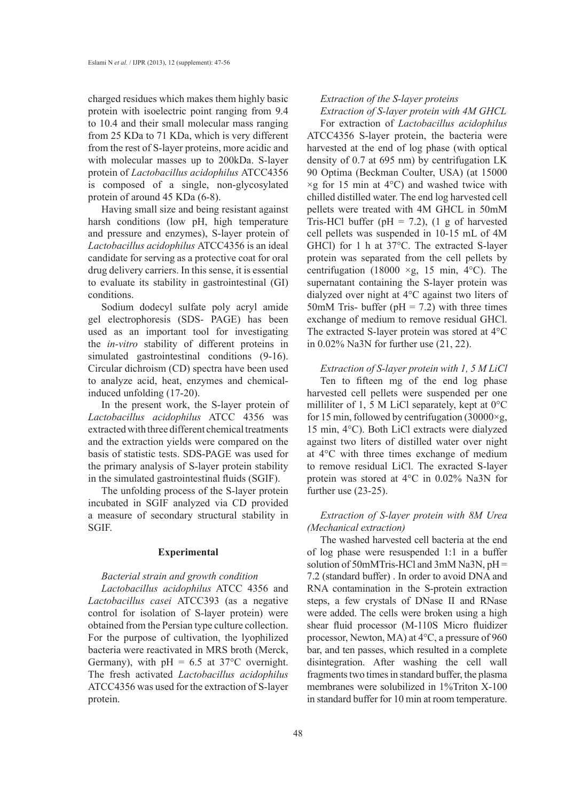charged residues which makes them highly basic protein with isoelectric point ranging from 9.4 to 10.4 and their small molecular mass ranging from 25 KDa to 71 KDa, which is very different from the rest of S-layer proteins, more acidic and with molecular masses up to 200kDa. S-layer protein of *Lactobacillus acidophilus* ATCC4356 is composed of a single, non-glycosylated protein of around 45 KDa (6-8).

Having small size and being resistant against harsh conditions (low pH, high temperature and pressure and enzymes), S-layer protein of *Lactobacillus acidophilus* ATCC4356 is an ideal candidate for serving as a protective coat for oral drug delivery carriers. In this sense, it is essential to evaluate its stability in gastrointestinal (GI) conditions.

Sodium dodecyl sulfate poly acryl amide gel electrophoresis (SDS- PAGE) has been used as an important tool for investigating the *in-vitro* stability of different proteins in simulated gastrointestinal conditions (9-16). Circular dichroism (CD) spectra have been used to analyze acid, heat, enzymes and chemicalinduced unfolding (17-20).

In the present work, the S-layer protein of *Lactobacillus acidophilus* ATCC 4356 was extracted with three different chemical treatments and the extraction yields were compared on the basis of statistic tests. SDS-PAGE was used for the primary analysis of S-layer protein stability in the simulated gastrointestinal fluids (SGIF).

The unfolding process of the S-layer protein incubated in SGIF analyzed via CD provided a measure of secondary structural stability in SGIF.

## **Experimental**

## *Bacterial strain and growth condition*

*Lactobacillus acidophilus* ATCC 4356 and *Lactobacillus casei* ATCC393 (as a negative control for isolation of S-layer protein) were obtained from the Persian type culture collection. For the purpose of cultivation, the lyophilized bacteria were reactivated in MRS broth (Merck, Germany), with  $pH = 6.5$  at 37°C overnight. The fresh activated *Lactobacillus acidophilus* ATCC4356 was used for the extraction of S-layer protein.

## *Extraction of the S-layer proteins Extraction of S-layer protein with 4M GHCL*

For extraction of *Lactobacillus acidophilus* ATCC4356 S-layer protein, the bacteria were harvested at the end of log phase (with optical density of 0.7 at 695 nm) by centrifugation LK 90 Optima (Beckman Coulter, USA) (at 15000  $\times$ g for 15 min at 4 $\rm{°C}$ ) and washed twice with chilled distilled water. The end log harvested cell pellets were treated with 4M GHCL in 50mM Tris-HCl buffer ( $pH = 7.2$ ), (1 g of harvested cell pellets was suspended in 10-15 mL of 4M GHCl) for 1 h at 37°C. The extracted S-layer protein was separated from the cell pellets by centrifugation (18000  $\times g$ , 15 min, 4°C). The supernatant containing the S-layer protein was dialyzed over night at 4°C against two liters of 50mM Tris- buffer ( $pH = 7.2$ ) with three times exchange of medium to remove residual GHCl. The extracted S-layer protein was stored at 4°C in 0.02% Na3N for further use (21, 22).

*Extraction of S-layer protein with 1, 5 M LiCl* Ten to fifteen mg of the end log phase harvested cell pellets were suspended per one milliliter of 1, 5 M LiCl separately, kept at  $0^{\circ}$ C for 15 min, followed by centrifugation (30000 $\times$ g, 15 min, 4°C). Both LiCl extracts were dialyzed against two liters of distilled water over night at 4°C with three times exchange of medium to remove residual LiCl. The exracted S-layer protein was stored at 4°C in 0.02% Na3N for further use (23-25).

# *Extraction of S-layer protein with 8M Urea (Mechanical extraction)*

The washed harvested cell bacteria at the end of log phase were resuspended 1:1 in a buffer solution of 50mMTris-HCl and 3mM Na3N, pH = 7.2 (standard buffer) . In order to avoid DNA and RNA contamination in the S-protein extraction steps, a few crystals of DNase II and RNase were added. The cells were broken using a high shear fluid processor (M-110S Micro fluidizer processor, Newton, MA) at 4°C, a pressure of 960 bar, and ten passes, which resulted in a complete disintegration. After washing the cell wall fragments two times in standard buffer, the plasma membranes were solubilized in 1%Triton X-100 in standard buffer for 10 min at room temperature.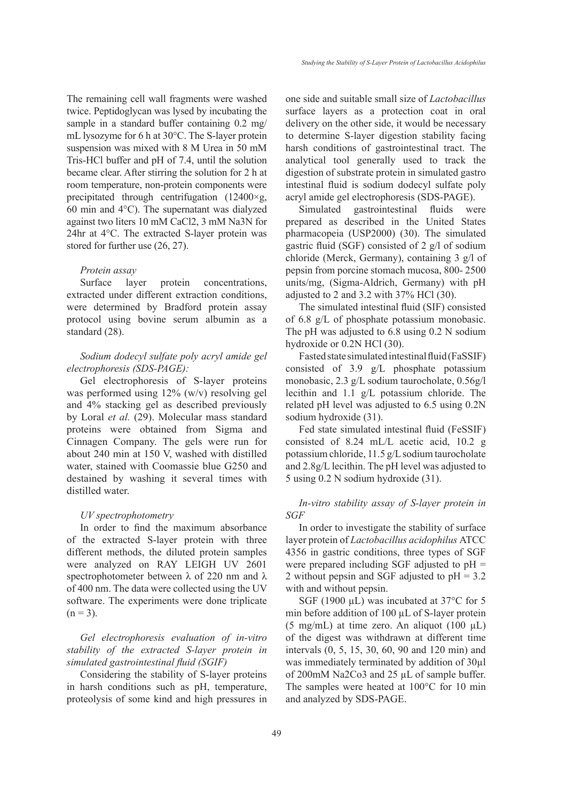The remaining cell wall fragments were washed twice. Peptidoglycan was lysed by incubating the sample in a standard buffer containing 0.2 mg/ mL lysozyme for 6 h at 30°C. The S-layer protein suspension was mixed with 8 M Urea in 50 mM Tris-HCl buffer and pH of 7.4, until the solution

became clear. After stirring the solution for 2 h at room temperature, non-protein components were precipitated through centrifugation (12400×g, 60 min and 4°C). The supernatant was dialyzed against two liters 10 mM CaCl2, 3 mM Na3N for 24hr at 4°C. The extracted S-layer protein was stored for further use (26, 27).

## *Protein assay*

Surface layer protein concentrations, extracted under different extraction conditions, were determined by Bradford protein assay protocol using bovine serum albumin as a standard (28).

# *Sodium dodecyl sulfate poly acryl amide gel electrophoresis (SDS-PAGE):*

Gel electrophoresis of S-layer proteins was performed using 12% (w/v) resolving gel and 4% stacking gel as described previously by Loral *et al.* (29). Molecular mass standard proteins were obtained from Sigma and Cinnagen Company. The gels were run for about 240 min at 150 V, washed with distilled water, stained with Coomassie blue G250 and destained by washing it several times with distilled water.

#### *UV spectrophotometry*

In order to find the maximum absorbance of the extracted S-layer protein with three different methods, the diluted protein samples were analyzed on RAY LEIGH UV 2601 spectrophotometer between  $\lambda$  of 220 nm and  $\lambda$ of 400 nm. The data were collected using the UV software. The experiments were done triplicate  $(n = 3)$ .

*Gel electrophoresis evaluation of in-vitro stability of the extracted S-layer protein in simulated gastrointestinal fluid (SGIF)*

Considering the stability of S-layer proteins in harsh conditions such as pH, temperature, proteolysis of some kind and high pressures in one side and suitable small size of *Lactobacillus* surface layers as a protection coat in oral delivery on the other side, it would be necessary to determine S-layer digestion stability facing harsh conditions of gastrointestinal tract. The analytical tool generally used to track the digestion of substrate protein in simulated gastro intestinal fluid is sodium dodecyl sulfate poly acryl amide gel electrophoresis (SDS-PAGE).

Simulated gastrointestinal fluids were prepared as described in the United States pharmacopeia (USP2000) (30). The simulated gastric fluid (SGF) consisted of 2 g/l of sodium chloride (Merck, Germany), containing 3 g/l of pepsin from porcine stomach mucosa, 800- 2500 units/mg, (Sigma-Aldrich, Germany) with pH adjusted to 2 and 3.2 with 37% HCl (30).

The simulated intestinal fluid (SIF) consisted of 6.8 g/L of phosphate potassium monobasic. The pH was adjusted to 6.8 using 0.2 N sodium hydroxide or 0.2N HCl (30).

Fasted state simulated intestinal fluid (FaSSIF) consisted of 3.9 g/L phosphate potassium monobasic, 2.3 g/L sodium taurocholate, 0.56g/l lecithin and 1.1 g/L potassium chloride. The related pH level was adjusted to 6.5 using 0.2N sodium hydroxide (31).

Fed state simulated intestinal fluid (FeSSIF) consisted of 8.24 mL/L acetic acid, 10.2 g potassium chloride, 11.5 g/L sodium taurocholate and 2.8g/L lecithin. The pH level was adjusted to 5 using 0.2 N sodium hydroxide (31).

# *In-vitro stability assay of S-layer protein in SGF*

In order to investigate the stability of surface layer protein of *Lactobacillus acidophilus* ATCC 4356 in gastric conditions, three types of SGF were prepared including SGF adjusted to pH = 2 without pepsin and SGF adjusted to pH = 3.2 with and without pepsin.

SGF (1900 µL) was incubated at 37°C for 5 min before addition of 100 µL of S-layer protein (5 mg/mL) at time zero. An aliquot  $(100 \mu L)$ of the digest was withdrawn at different time intervals (0, 5, 15, 30, 60, 90 and 120 min) and was immediately terminated by addition of 30µl of 200mM Na2Co3 and 25 µL of sample buffer. The samples were heated at 100°C for 10 min and analyzed by SDS-PAGE.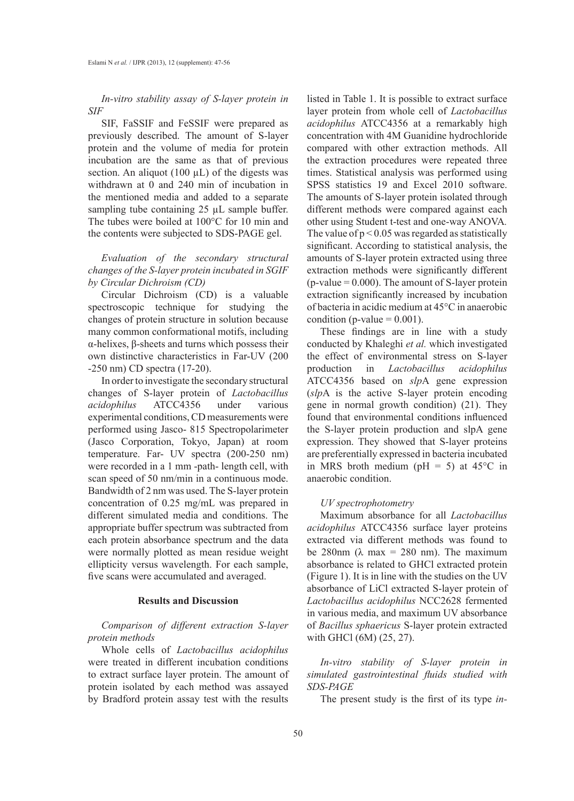*In-vitro stability assay of S-layer protein in SIF*

SIF, FaSSIF and FeSSIF were prepared as previously described. The amount of S-layer protein and the volume of media for protein incubation are the same as that of previous section. An aliquot (100  $\mu$ L) of the digests was withdrawn at 0 and 240 min of incubation in the mentioned media and added to a separate sampling tube containing 25 µL sample buffer. The tubes were boiled at 100°C for 10 min and the contents were subjected to SDS-PAGE gel.

# *Evaluation of the secondary structural changes of the S-layer protein incubated in SGIF by Circular Dichroism (CD)*

Circular Dichroism (CD) is a valuable spectroscopic technique for studying the changes of protein structure in solution because many common conformational motifs, including α-helixes, β-sheets and turns which possess their own distinctive characteristics in Far-UV (200 -250 nm) CD spectra (17-20).

In order to investigate the secondary structural changes of S-layer protein of *Lactobacillus acidophilus* ATCC4356 under various experimental conditions, CD measurements were performed using Jasco- 815 Spectropolarimeter (Jasco Corporation, Tokyo, Japan) at room temperature. Far- UV spectra (200-250 nm) were recorded in a 1 mm -path- length cell, with scan speed of 50 nm/min in a continuous mode. Bandwidth of 2 nm was used. The S-layer protein concentration of 0.25 mg/mL was prepared in different simulated media and conditions. The appropriate buffer spectrum was subtracted from each protein absorbance spectrum and the data were normally plotted as mean residue weight ellipticity versus wavelength. For each sample, five scans were accumulated and averaged.

# **Results and Discussion**

# *Comparison of different extraction S-layer protein methods*

Whole cells of *Lactobacillus acidophilus* were treated in different incubation conditions to extract surface layer protein. The amount of protein isolated by each method was assayed by Bradford protein assay test with the results

listed in Table 1. It is possible to extract surface layer protein from whole cell of *Lactobacillus acidophilus* ATCC4356 at a remarkably high concentration with 4M Guanidine hydrochloride compared with other extraction methods. All the extraction procedures were repeated three times. Statistical analysis was performed using SPSS statistics 19 and Excel 2010 software. The amounts of S-layer protein isolated through different methods were compared against each other using Student t-test and one-way ANOVA*.*  The value of  $p < 0.05$  was regarded as statistically significant. According to statistical analysis, the amounts of S-layer protein extracted using three extraction methods were significantly different  $(p-value = 0.000)$ . The amount of S-layer protein extraction significantly increased by incubation of bacteria in acidic medium at 45°C in anaerobic condition (p-value  $= 0.001$ ).

These findings are in line with a study conducted by Khaleghi *et al.* which investigated the effect of environmental stress on S-layer production in *Lactobacillus acidophilus* ATCC4356 based on *slp*A gene expression (*slp*A is the active S-layer protein encoding gene in normal growth condition) (21). They found that environmental conditions influenced the S-layer protein production and slpA gene expression. They showed that S-layer proteins are preferentially expressed in bacteria incubated in MRS broth medium ( $pH = 5$ ) at 45°C in anaerobic condition.

## *UV spectrophotometry*

Maximum absorbance for all *Lactobacillus acidophilus* ATCC4356 surface layer proteins extracted via different methods was found to be 280nm ( $\lambda$  max = 280 nm). The maximum absorbance is related to GHCl extracted protein (Figure 1). It is in line with the studies on the UV absorbance of LiCl extracted S-layer protein of *Lactobacillus acidophilus* NCC2628 fermented in various media, and maximum UV absorbance of *Bacillus sphaericus* S-layer protein extracted with GHCl (6M) (25, 27).

*In-vitro stability of S-layer protein in simulated gastrointestinal fluids studied with SDS-PAGE*

The present study is the first of its type *in-*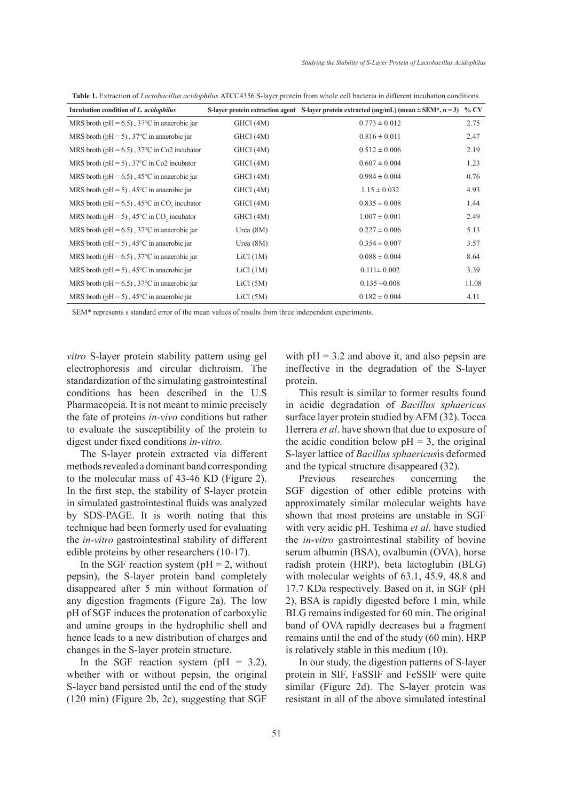| Incubation condition of L. acidophilus                                   |             | S-layer protein extraction agent S-layer protein extracted (mg/mL) (mean $\pm$ SEM*, n = 3) % CV |       |
|--------------------------------------------------------------------------|-------------|--------------------------------------------------------------------------------------------------|-------|
| MRS broth ( $pH = 6.5$ ), 37°C in anaerobic jar                          | GHCl (4M)   | $0.773 \pm 0.012$                                                                                | 2.75  |
| MRS broth ( $pH = 5$ ), 37°C in anaerobic jar                            | GHCl (4M)   | $0.816 \pm 0.011$                                                                                | 2.47  |
| MRS broth ( $pH = 6.5$ ), 37°C in Co2 incubator                          | GHCl (4M)   | $0.512 \pm 0.006$                                                                                | 2.19  |
| MRS broth ( $pH = 5$ ), 37°C in Co2 incubator                            | GHCl (4M)   | $0.607 \pm 0.004$                                                                                | 1.23  |
| MRS broth ( $pH = 6.5$ ), 45 <sup>o</sup> C in anaerobic jar             | GHCl (4M)   | $0.984 \pm 0.004$                                                                                | 0.76  |
| MRS broth ( $pH = 5$ ), 45 <sup>o</sup> C in anaerobic jar               | GHCl (4M)   | $1.15 \pm 0.032$                                                                                 | 4.93  |
| MRS broth ( $pH = 6.5$ ), 45 <sup>o</sup> C in CO <sub>2</sub> incubator | GHCl (4M)   | $0.835 \pm 0.008$                                                                                | 1.44  |
| MRS broth ( $pH = 5$ ), 45°C in CO, incubator                            | GHCl (4M)   | $1.007 \pm 0.001$                                                                                | 2.49  |
| MRS broth ( $pH = 6.5$ ), 37°C in anaerobic jar                          | Urea $(8M)$ | $0.227 \pm 0.006$                                                                                | 5.13  |
| MRS broth ( $pH = 5$ ), 45 <sup>o</sup> C in anaerobic jar               | Urea $(8M)$ | $0.354 \pm 0.007$                                                                                | 3.57  |
| MRS broth ( $pH = 6.5$ ), 37°C in anaerobic jar                          | LiCl (1M)   | $0.088 \pm 0.004$                                                                                | 8.64  |
| MRS broth ( $pH = 5$ ), 45 <sup>o</sup> C in anaerobic jar               | LiCl (1M)   | $0.111 \pm 0.002$                                                                                | 3.39  |
| MRS broth ( $pH = 6.5$ ), 37 <sup>o</sup> C in anaerobic jar             | LiCl (5M)   | $0.135 \pm 0.008$                                                                                | 11.08 |
| MRS broth ( $pH = 5$ ), 45°C in anaerobic jar                            | LiCl (5M)   | $0.182 \pm 0.004$                                                                                | 4.11  |

**Table 1.** Extraction of *Lactobacillus acidophilus* ATCC4356 S-layer protein from whole cell bacteria in different incubation conditions.

SEM\* represents s standard error of the mean values of results from three independent experiments.

*vitro* S-layer protein stability pattern using gel electrophoresis and circular dichroism. The standardization of the simulating gastrointestinal conditions has been described in the U.S Pharmacopeia. It is not meant to mimic precisely the fate of proteins *in-vivo* conditions but rather to evaluate the susceptibility of the protein to digest under fixed conditions *in-vitro.*

The S-layer protein extracted via different methods revealed a dominant band corresponding to the molecular mass of 43-46 KD (Figure 2). In the first step, the stability of S-layer protein in simulated gastrointestinal fluids was analyzed by SDS-PAGE. It is worth noting that this technique had been formerly used for evaluating the *in-vitro* gastrointestinal stability of different edible proteins by other researchers (10-17).

In the SGF reaction system ( $pH = 2$ , without pepsin), the S-layer protein band completely disappeared after 5 min without formation of any digestion fragments (Figure 2a). The low pH of SGF induces the protonation of carboxylic and amine groups in the hydrophilic shell and hence leads to a new distribution of charges and changes in the S-layer protein structure.

In the SGF reaction system ( $pH = 3.2$ ), whether with or without pepsin, the original S-layer band persisted until the end of the study (120 min) (Figure 2b, 2c), suggesting that SGF with  $pH = 3.2$  and above it, and also pepsin are ineffective in the degradation of the S-layer protein.

This result is similar to former results found in acidic degradation of *Bacillus sphaericus* surface layer protein studied by AFM (32). Tocca Herrera *et al*. have shown that due to exposure of the acidic condition below  $pH = 3$ , the original S-layer lattice of *Bacillus sphaericus*is deformed and the typical structure disappeared (32).

Previous researches concerning the SGF digestion of other edible proteins with approximately similar molecular weights have shown that most proteins are unstable in SGF with very acidic pH. Teshima *et al*. have studied the *in-vitro* gastrointestinal stability of bovine serum albumin (BSA), ovalbumin (OVA), horse radish protein (HRP), beta lactoglubin (BLG) with molecular weights of 63.1, 45.9, 48.8 and 17.7 KDa respectively. Based on it, in SGF (pH 2), BSA is rapidly digested before 1 min, while BLG remains indigested for 60 min. The original band of OVA rapidly decreases but a fragment remains until the end of the study (60 min). HRP is relatively stable in this medium (10).

In our study, the digestion patterns of S-layer protein in SIF, FaSSIF and FeSSIF were quite similar (Figure 2d). The S-layer protein was resistant in all of the above simulated intestinal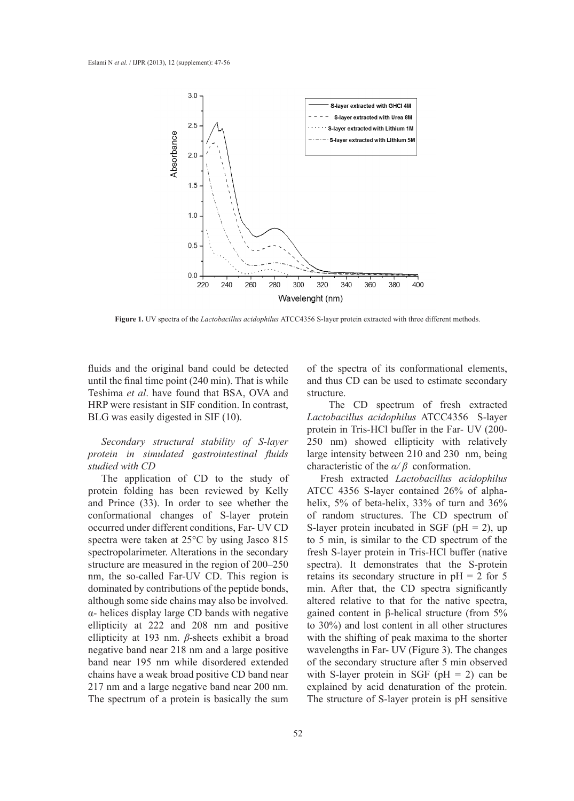

**Figure 1.** UV spectra of the *Lactobacillus acidophilus* ATCC4356 S-layer protein extracted with three different methods.

fluids and the original band could be detected until the final time point (240 min). That is while Teshima *et al*. have found that BSA, OVA and HRP were resistant in SIF condition. In contrast, BLG was easily digested in SIF (10).

*Secondary structural stability of S-layer protein in simulated gastrointestinal fluids studied with CD*

The application of CD to the study of protein folding has been reviewed by Kelly and Prince (33). In order to see whether the conformational changes of S-layer protein occurred under different conditions, Far- UV CD spectra were taken at 25°C by using Jasco 815 spectropolarimeter. Alterations in the secondary structure are measured in the region of 200–250 nm, the so-called Far-UV CD. This region is dominated by contributions of the peptide bonds, although some side chains may also be involved. α- helices display large CD bands with negative ellipticity at 222 and 208 nm and positive ellipticity at 193 nm. *β*-sheets exhibit a broad negative band near 218 nm and a large positive band near 195 nm while disordered extended chains have a weak broad positive CD band near 217 nm and a large negative band near 200 nm. The spectrum of a protein is basically the sum

of the spectra of its conformational elements, and thus CD can be used to estimate secondary structure.

 The CD spectrum of fresh extracted *Lactobacillus acidophilus* ATCC4356 S-layer protein in Tris-HCl buffer in the Far- UV (200- 250 nm) showed ellipticity with relatively large intensity between 210 and 230 nm, being characteristic of the *α/ β* conformation.

Fresh extracted *Lactobacillus acidophilus*  ATCC 4356 S-layer contained 26% of alphahelix, 5% of beta-helix, 33% of turn and 36% of random structures. The CD spectrum of S-layer protein incubated in SGF ( $pH = 2$ ), up to 5 min, is similar to the CD spectrum of the fresh S-layer protein in Tris-HCl buffer (native spectra). It demonstrates that the S-protein retains its secondary structure in  $pH = 2$  for 5 min. After that, the CD spectra significantly altered relative to that for the native spectra, gained content in β-helical structure (from 5% to 30%) and lost content in all other structures with the shifting of peak maxima to the shorter wavelengths in Far- UV (Figure 3). The changes of the secondary structure after 5 min observed with S-layer protein in SGF ( $pH = 2$ ) can be explained by acid denaturation of the protein. The structure of S-layer protein is pH sensitive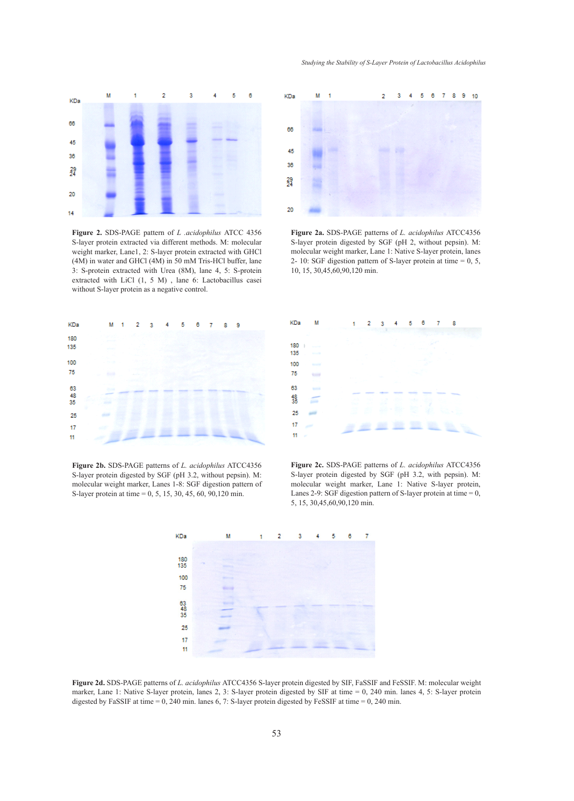

**Figure 2.** SDS-PAGE pattern of *L .acidophilus* ATCC 4356 S-layer protein extracted via different methods. M: molecular weight marker, Lane1, 2: S-layer protein extracted with GHCl (4M) in water and GHCl (4M) in 50 mM Tris-HCl buffer, lane 3: S-protein extracted with Urea (8M), lane 4, 5: S-protein extracted with LiCl (1, 5 M) , lane 6: Lactobacillus casei without S-layer protein as a negative control.



**Figure 2b.** SDS-PAGE patterns of *L. acidophilus* ATCC4356 S-layer protein digested by SGF (pH 3.2, without pepsin). M: molecular weight marker, Lanes 1-8: SGF digestion pattern of S-layer protein at time = 0, 5, 15, 30, 45, 60, 90,120 min.



**Figure 2a.** SDS-PAGE patterns of *L. acidophilus* ATCC4356 S-layer protein digested by SGF (pH 2, without pepsin). M: molecular weight marker, Lane 1: Native S-layer protein, lanes 2- 10: SGF digestion pattern of S-layer protein at time = 0, 5, 10, 15, 30,45,60,90,120 min.



**Figure 2c.** SDS-PAGE patterns of *L. acidophilus* ATCC4356 S-layer protein digested by SGF (pH 3.2, with pepsin). M: molecular weight marker, Lane 1: Native S-layer protein, Lanes 2-9: SGF digestion pattern of S-layer protein at time  $= 0$ , 5, 15, 30,45,60,90,120 min.



**Figure 2d.** SDS-PAGE patterns of *L. acidophilus* ATCC4356 S-layer protein digested by SIF, FaSSIF and FeSSIF. M: molecular weight marker, Lane 1: Native S-layer protein, lanes 2, 3: S-layer protein digested by SIF at time = 0, 240 min. lanes 4, 5: S-layer protein digested by FaSSIF at time = 0, 240 min. lanes 6, 7: S-layer protein digested by FeSSIF at time = 0, 240 min.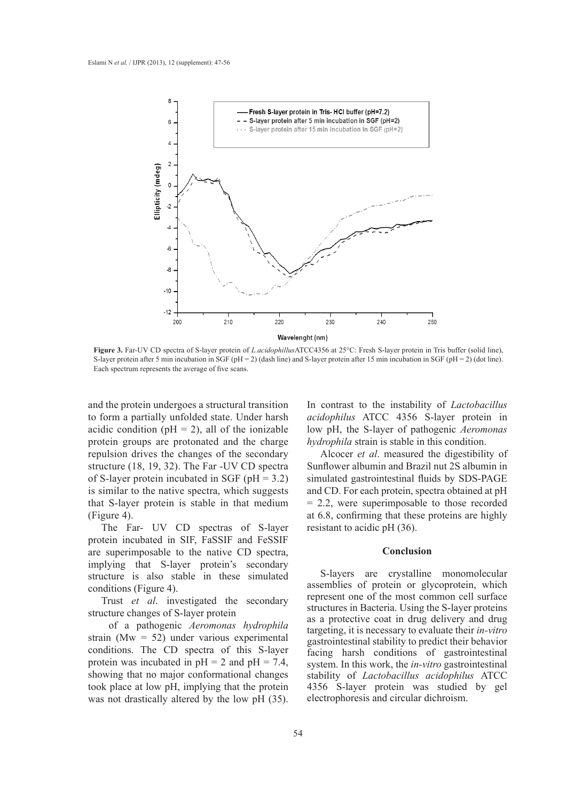

**Figure 3.** Far-UV CD spectra of S-layer protein of *L.acidophillus*ATCC4356 at 25°C: Fresh S-layer protein in Tris buffer (solid line), S-layer protein after 5 min incubation in SGF (pH = 2) (dash line) and S-layer protein after 15 min incubation in SGF (pH = 2) (dot line). Each spectrum represents the average of five scans.

and the protein undergoes a structural transition to form a partially unfolded state. Under harsh acidic condition ( $pH = 2$ ), all of the ionizable protein groups are protonated and the charge repulsion drives the changes of the secondary structure (18, 19, 32). The Far -UV CD spectra of S-layer protein incubated in SGF ( $pH = 3.2$ ) is similar to the native spectra, which suggests that S-layer protein is stable in that medium (Figure 4).

The Far- UV CD spectras of S-layer protein incubated in SIF, FaSSIF and FeSSIF are superimposable to the native CD spectra, implying that S-layer protein's secondary structure is also stable in these simulated conditions (Figure 4).

Trust *et al*. investigated the secondary structure changes of S-layer protein

 of a pathogenic *Aeromonas hydrophila* strain (Mw = 52) under various experimental conditions. The CD spectra of this S-layer protein was incubated in  $pH = 2$  and  $pH = 7.4$ , showing that no major conformational changes took place at low pH, implying that the protein was not drastically altered by the low pH (35).

In contrast to the instability of *Lactobacillus acidophilus* ATCC 4356 S-layer protein in low pH, the S-layer of pathogenic *Aeromonas hydrophila* strain is stable in this condition.

Alcocer *et al*. measured the digestibility of Sunflower albumin and Brazil nut 2S albumin in simulated gastrointestinal fluids by SDS-PAGE and CD. For each protein, spectra obtained at pH = 2.2, were superimposable to those recorded at 6.8, confirming that these proteins are highly resistant to acidic pH (36).

## **Conclusion**

S-layers are crystalline monomolecular assemblies of protein or glycoprotein, which represent one of the most common cell surface structures in Bacteria. Using the S-layer proteins as a protective coat in drug delivery and drug targeting, it is necessary to evaluate their *in-vitro* gastrointestinal stability to predict their behavior facing harsh conditions of gastrointestinal system. In this work, the *in-vitro* gastrointestinal stability of *Lactobacillus acidophilus* ATCC 4356 S-layer protein was studied by gel electrophoresis and circular dichroism.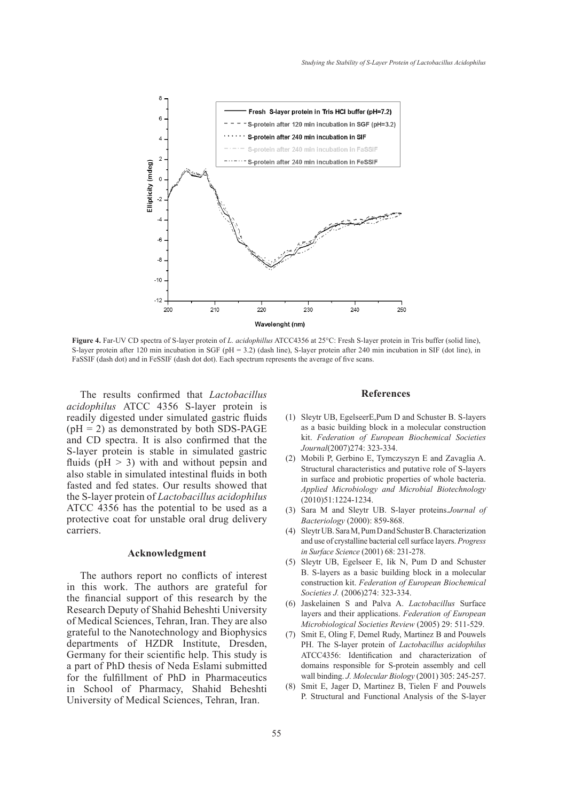

**Figure 4.** Far-UV CD spectra of S-layer protein of *L. acidophillus* ATCC4356 at 25°C: Fresh S-layer protein in Tris buffer (solid line), S-layer protein after 120 min incubation in SGF (pH = 3.2) (dash line), S-layer protein after 240 min incubation in SIF (dot line), in FaSSIF (dash dot) and in FeSSIF (dash dot dot). Each spectrum represents the average of five scans.

The results confirmed that *Lactobacillus acidophilus* ATCC 4356 S-layer protein is readily digested under simulated gastric fluids  $(pH = 2)$  as demonstrated by both SDS-PAGE and CD spectra. It is also confirmed that the S-layer protein is stable in simulated gastric fluids ( $pH > 3$ ) with and without pepsin and also stable in simulated intestinal fluids in both fasted and fed states. Our results showed that the S-layer protein of *Lactobacillus acidophilus*  ATCC 4356 has the potential to be used as a protective coat for unstable oral drug delivery carriers.

#### **Acknowledgment**

The authors report no conflicts of interest in this work. The authors are grateful for the financial support of this research by the Research Deputy of Shahid Beheshti University of Medical Sciences, Tehran, Iran. They are also grateful to the Nanotechnology and Biophysics departments of HZDR Institute, Dresden, Germany for their scientific help. This study is a part of PhD thesis of Neda Eslami submitted for the fulfillment of PhD in Pharmaceutics in School of Pharmacy, Shahid Beheshti University of Medical Sciences, Tehran, Iran.

#### **References**

- Sleytr UB, EgelseerE,Pum D and Schuster B. S-layers (1) as a basic building block in a molecular construction kit. *Federation of European Biochemical Societies Journal*(2007)274: 323-334.
- (2) Mobili P, Gerbino E, Tymczyszyn E and Zavaglia A. Structural characteristics and putative role of S-layers in surface and probiotic properties of whole bacteria. *Applied Microbiology and Microbial Biotechnology* (2010)51:1224-1234.
- Sara M and Sleytr UB. S-layer proteins.*Journal of*  (3) *Bacteriology* (2000): 859-868.
- Sleytr UB. Sara M, Pum D and Schuster B. Characterization (4) and use of crystalline bacterial cell surface layers. *Progress in Surface Science* (2001) 68: 231-278.
- (5) Sleytr UB, Egelseer E, Iik N, Pum D and Schuster B. S-layers as a basic building block in a molecular construction kit. *Federation of European Biochemical Societies J.* (2006)274: 323-334.
- Jaskelainen S and Palva A. *Lactobacillus* Surface (6) layers and their applications. *Federation of European Microbiological Societies Review* (2005) 29: 511-529.
- Smit E, Oling F, Demel Rudy, Martinez B and Pouwels (7) PH. The S-layer protein of *Lactobacillus acidophilus* ATCC4356: Identification and characterization of domains responsible for S-protein assembly and cell wall binding. *J. Molecular Biology* (2001) 305: 245-257.
- Smit E, Jager D, Martinez B, Tielen F and Pouwels P. Structural and Functional Analysis of the S-layer (8)